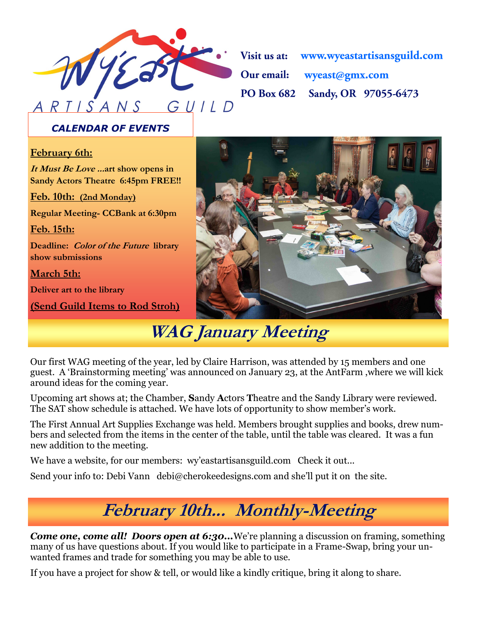

Visit us at: www.wyeastartisansguild.com Our email: wyeast@gmx.com **PO Box 682** Sandy, OR 97055-6473

### *CALENDAR OF EVENTS*

#### **February 6th:**

**It Must Be Love ...art show opens in Sandy Actors Theatre 6:45pm FREE!!**

**Feb. 10th: (2nd Monday)**

**Regular Meeting- CCBank at 6:30pm**

**Feb. 15th:**

**Deadline: Color of the Future library show submissions**

**March 5th:** 

**Deliver art to the library**

**(Send Guild Items to Rod Stroh)**



## **WAG January Meeting**

Our first WAG meeting of the year, led by Claire Harrison, was attended by 15 members and one guest. A 'Brainstorming meeting' was announced on January 23, at the AntFarm ,where we will kick around ideas for the coming year.

Upcoming art shows at; the Chamber, **S**andy **A**ctors **T**heatre and the Sandy Library were reviewed. The SAT show schedule is attached. We have lots of opportunity to show member's work.

The First Annual Art Supplies Exchange was held. Members brought supplies and books, drew numbers and selected from the items in the center of the table, until the table was cleared. It was a fun new addition to the meeting.

We have a website, for our members: wy'eastartisansguild.com Check it out...

Send your info to: Debi Vann debi@cherokeedesigns.com and she'll put it on the site.

# **February 10th... Monthly-Meeting**

*Come one, come all! Doors open at 6:30...*We're planning a discussion on framing, something many of us have questions about. If you would like to participate in a Frame-Swap, bring your unwanted frames and trade for something you may be able to use.

If you have a project for show & tell, or would like a kindly critique, bring it along to share.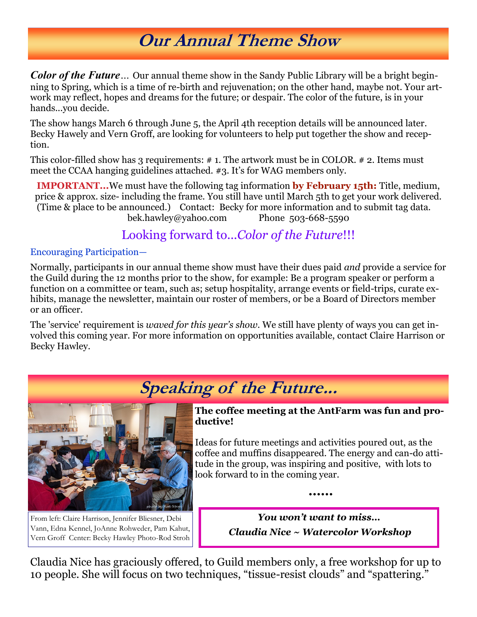## **Our Annual Theme Show**

*Color of the Future…* Our annual theme show in the Sandy Public Library will be a bright beginning to Spring, which is a time of re-birth and rejuvenation; on the other hand, maybe not. Your artwork may reflect, hopes and dreams for the future; or despair. The color of the future, is in your hands...you decide.

The show hangs March 6 through June 5, the April 4th reception details will be announced later. Becky Hawely and Vern Groff, are looking for volunteers to help put together the show and reception.

This color-filled show has 3 requirements: # 1. The artwork must be in COLOR. # 2. Items must meet the CCAA hanging guidelines attached. #3. It's for WAG members only.

**IMPORTANT...**We must have the following tag information **by February 15th:** Title, medium, price & approx. size- including the frame. You still have until March 5th to get your work delivered. (Time & place to be announced.) Contact: Becky for more information and to submit tag data. bek.hawley@yahoo.com Phone 503-668-5590

### Looking forward to...*Color of the Future*!!!

#### Encouraging Participation—

Normally, participants in our annual theme show must have their dues paid *and* provide a service for the Guild during the 12 months prior to the show, for example: Be a program speaker or perform a function on a committee or team, such as; setup hospitality, arrange events or field-trips, curate exhibits, manage the newsletter, maintain our roster of members, or be a Board of Directors member or an officer.

The 'service' requirement is *waved for this year's show.* We still have plenty of ways you can get involved this coming year. For more information on opportunities available, contact Claire Harrison or Becky Hawley.



From left: Claire Harrison, Jennifer Bliesner, Debi Vann, Edna Kennel, JoAnne Rohweder, Pam Kahut, Vern Groff Center: Becky Hawley Photo-Rod Stroh

### **Speaking of the Future...**

**The coffee meeting at the AntFarm was fun and productive!** 

Ideas for future meetings and activities poured out, as the coffee and muffins disappeared. The energy and can-do attitude in the group, was inspiring and positive, with lots to look forward to in the coming year.

**......**

*You won't want to miss… Claudia Nice ~ Watercolor Workshop*

Claudia Nice has graciously offered, to Guild members only, a free workshop for up to 10 people. She will focus on two techniques, "tissue-resist clouds" and "spattering."